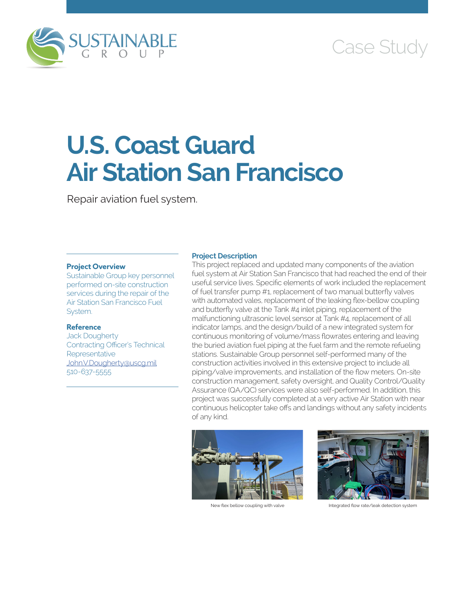

## Case Study

# **U.S. Coast Guard Air Station San Francisco**

Repair aviation fuel system.

#### **Project Overview**

Sustainable Group key personnel performed on-site construction services during the repair of the Air Station San Francisco Fuel System.

#### **Reference**

Jack Dougherty Contracting Officer's Technical **Representative** [John.V.Dougherty@uscg.mil](mailto:John.V.Dougherty@uscg.mil) 510-637-5555

#### **Project Description**

This project replaced and updated many components of the aviation fuel system at Air Station San Francisco that had reached the end of their useful service lives. Specific elements of work included the replacement of fuel transfer pump #1, replacement of two manual butterfly valves with automated vales, replacement of the leaking flex-bellow coupling and butterfly valve at the Tank #4 inlet piping, replacement of the malfunctioning ultrasonic level sensor at Tank #4, replacement of all indicator lamps, and the design/build of a new integrated system for continuous monitoring of volume/mass flowrates entering and leaving the buried aviation fuel piping at the fuel farm and the remote refueling stations. Sustainable Group personnel self-performed many of the construction activities involved in this extensive project to include all piping/valve improvements, and installation of the flow meters. On-site construction management, safety oversight, and Quality Control/Quality Assurance (QA/QC) services were also self-performed. In addition, this project was successfully completed at a very active Air Station with near continuous helicopter take offs and landings without any safety incidents of any kind.